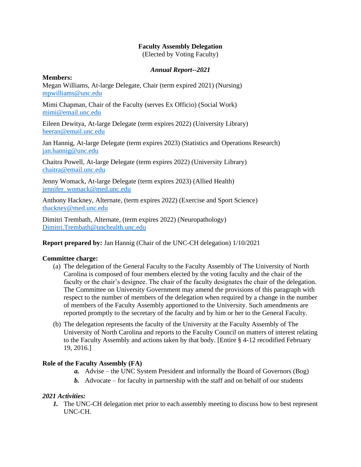# **Faculty Assembly Delegation**

(Elected by Voting Faculty)

## *Annual Report--2021*

### **Members:**

Megan Williams, At-large Delegate, Chair (term expired 2021) (Nursing) [mpwilliams@unc.edu](mailto:mpwilliams@unc.edu)

Mimi Chapman, Chair of the Faculty (serves Ex Officio) (Social Work) [mimi@email.unc.edu](mailto:mimi@email.unc.edu)

Eileen Dewitya, At-large Delegate (term expires 2022) (University Library) [heeran@email.unc.edu](mailto:heeran@email.unc.edu)

Jan Hannig, At-large Delegate (term expires 2023) (Statistics and Operations Research) [jan.hannig@unc.edu](mailto:jan.hannig@unc.edu)

Chaitra Powell, At-large Delegate (term expires 2022) (University Library) [chaitra@email.unc.edu](mailto:chaitra@email.unc.edu)

Jenny Womack, At-large Delegate (term expires 2023) (Allied Health) [jennifer\\_womack@med.unc.edu](mailto:jennifer_womack@med.unc.edu)

Anthony Hackney, Alternate, (term expires 2022) (Exercise and Sport Science) [thackney@med.unc.edu](mailto:thackney@med.unc.edu)

Dimitri Trembath, Alternate, (term expires 2022) (Neuropathology) [Dimitri.Trembath@unchealth.unc.edu](mailto:Dimitri.Trembath@unchealth.unc.edu)

**Report prepared by:** Jan Hannig (Chair of the UNC-CH delegation) 1/10/2021

#### **Committee charge:**

- (a) The delegation of the General Faculty to the Faculty Assembly of The University of North Carolina is composed of four members elected by the voting faculty and the chair of the faculty or the chair's designee. The chair of the faculty designates the chair of the delegation. The Committee on University Government may amend the provisions of this paragraph with respect to the number of members of the delegation when required by a change in the number of members of the Faculty Assembly apportioned to the University. Such amendments are reported promptly to the secretary of the faculty and by him or her to the General Faculty.
- (b) The delegation represents the faculty of the University at the Faculty Assembly of The University of North Carolina and reports to the Faculty Council on matters of interest relating to the Faculty Assembly and actions taken by that body. [Entire § 4-12 recodified February 19, 2016.]

### **Role of the Faculty Assembly (FA)**

- *a.* Advise the UNC System President and informally the Board of Governors (Bog)
- *b.* Advocate for faculty in partnership with the staff and on behalf of our students

# *2021 Activities:*

*1.* The UNC-CH delegation met prior to each assembly meeting to discuss how to best represent UNC-CH.